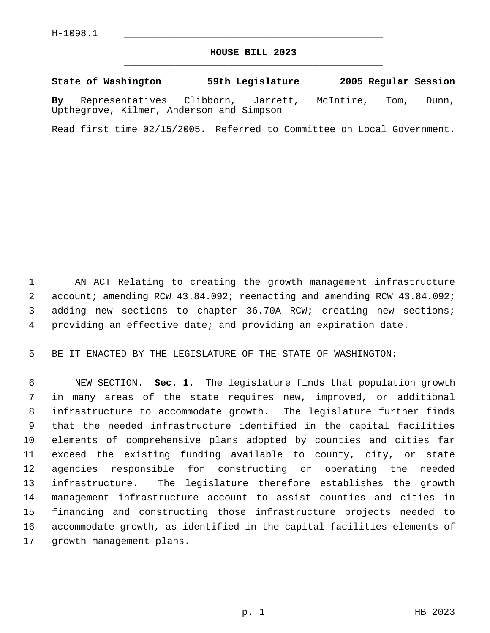## **HOUSE BILL 2023** \_\_\_\_\_\_\_\_\_\_\_\_\_\_\_\_\_\_\_\_\_\_\_\_\_\_\_\_\_\_\_\_\_\_\_\_\_\_\_\_\_\_\_\_\_

## **State of Washington 59th Legislature 2005 Regular Session**

**By** Representatives Clibborn, Jarrett, McIntire, Tom, Dunn, Upthegrove, Kilmer, Anderson and Simpson

Read first time 02/15/2005. Referred to Committee on Local Government.

 AN ACT Relating to creating the growth management infrastructure account; amending RCW 43.84.092; reenacting and amending RCW 43.84.092; adding new sections to chapter 36.70A RCW; creating new sections; providing an effective date; and providing an expiration date.

BE IT ENACTED BY THE LEGISLATURE OF THE STATE OF WASHINGTON:

 NEW SECTION. **Sec. 1.** The legislature finds that population growth in many areas of the state requires new, improved, or additional infrastructure to accommodate growth. The legislature further finds that the needed infrastructure identified in the capital facilities elements of comprehensive plans adopted by counties and cities far exceed the existing funding available to county, city, or state agencies responsible for constructing or operating the needed infrastructure. The legislature therefore establishes the growth management infrastructure account to assist counties and cities in financing and constructing those infrastructure projects needed to accommodate growth, as identified in the capital facilities elements of growth management plans.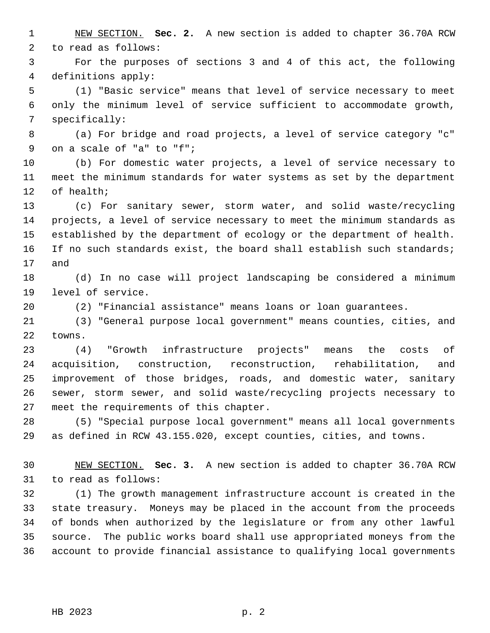NEW SECTION. **Sec. 2.** A new section is added to chapter 36.70A RCW to read as follows:

 For the purposes of sections 3 and 4 of this act, the following definitions apply:

 (1) "Basic service" means that level of service necessary to meet only the minimum level of service sufficient to accommodate growth, specifically:

 (a) For bridge and road projects, a level of service category "c" on a scale of "a" to "f";

 (b) For domestic water projects, a level of service necessary to meet the minimum standards for water systems as set by the department of health;

 (c) For sanitary sewer, storm water, and solid waste/recycling projects, a level of service necessary to meet the minimum standards as established by the department of ecology or the department of health. If no such standards exist, the board shall establish such standards; and

 (d) In no case will project landscaping be considered a minimum level of service.

(2) "Financial assistance" means loans or loan guarantees.

 (3) "General purpose local government" means counties, cities, and towns.

 (4) "Growth infrastructure projects" means the costs of acquisition, construction, reconstruction, rehabilitation, and improvement of those bridges, roads, and domestic water, sanitary sewer, storm sewer, and solid waste/recycling projects necessary to meet the requirements of this chapter.

 (5) "Special purpose local government" means all local governments as defined in RCW 43.155.020, except counties, cities, and towns.

 NEW SECTION. **Sec. 3.** A new section is added to chapter 36.70A RCW to read as follows:

 (1) The growth management infrastructure account is created in the state treasury. Moneys may be placed in the account from the proceeds of bonds when authorized by the legislature or from any other lawful source. The public works board shall use appropriated moneys from the account to provide financial assistance to qualifying local governments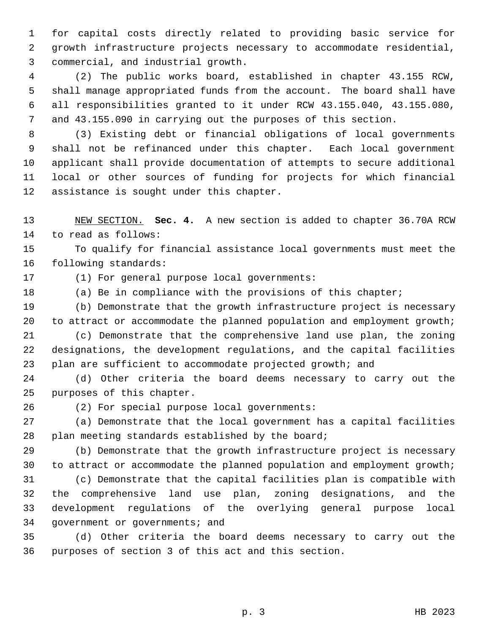for capital costs directly related to providing basic service for growth infrastructure projects necessary to accommodate residential, commercial, and industrial growth.

 (2) The public works board, established in chapter 43.155 RCW, shall manage appropriated funds from the account. The board shall have all responsibilities granted to it under RCW 43.155.040, 43.155.080, and 43.155.090 in carrying out the purposes of this section.

 (3) Existing debt or financial obligations of local governments shall not be refinanced under this chapter. Each local government applicant shall provide documentation of attempts to secure additional local or other sources of funding for projects for which financial assistance is sought under this chapter.

 NEW SECTION. **Sec. 4.** A new section is added to chapter 36.70A RCW to read as follows:

 To qualify for financial assistance local governments must meet the following standards:

(1) For general purpose local governments:

(a) Be in compliance with the provisions of this chapter;

 (b) Demonstrate that the growth infrastructure project is necessary to attract or accommodate the planned population and employment growth;

 (c) Demonstrate that the comprehensive land use plan, the zoning designations, the development regulations, and the capital facilities plan are sufficient to accommodate projected growth; and

 (d) Other criteria the board deems necessary to carry out the purposes of this chapter.

(2) For special purpose local governments:

 (a) Demonstrate that the local government has a capital facilities plan meeting standards established by the board;

 (b) Demonstrate that the growth infrastructure project is necessary to attract or accommodate the planned population and employment growth;

 (c) Demonstrate that the capital facilities plan is compatible with the comprehensive land use plan, zoning designations, and the development regulations of the overlying general purpose local government or governments; and

 (d) Other criteria the board deems necessary to carry out the purposes of section 3 of this act and this section.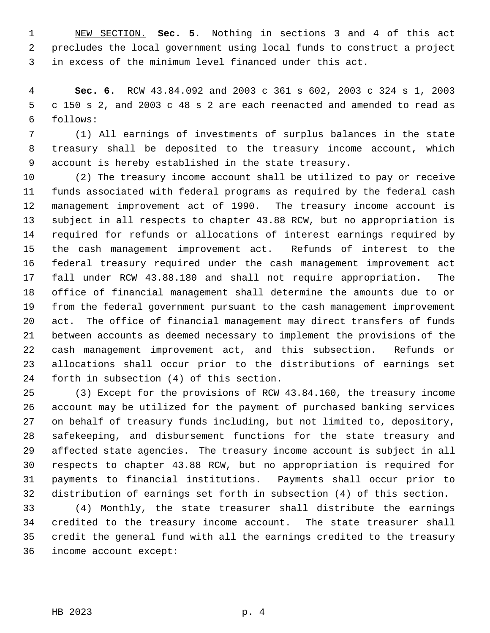NEW SECTION. **Sec. 5.** Nothing in sections 3 and 4 of this act precludes the local government using local funds to construct a project in excess of the minimum level financed under this act.

 **Sec. 6.** RCW 43.84.092 and 2003 c 361 s 602, 2003 c 324 s 1, 2003 c 150 s 2, and 2003 c 48 s 2 are each reenacted and amended to read as follows:

 (1) All earnings of investments of surplus balances in the state treasury shall be deposited to the treasury income account, which account is hereby established in the state treasury.

 (2) The treasury income account shall be utilized to pay or receive funds associated with federal programs as required by the federal cash management improvement act of 1990. The treasury income account is subject in all respects to chapter 43.88 RCW, but no appropriation is required for refunds or allocations of interest earnings required by the cash management improvement act. Refunds of interest to the federal treasury required under the cash management improvement act fall under RCW 43.88.180 and shall not require appropriation. The office of financial management shall determine the amounts due to or from the federal government pursuant to the cash management improvement act. The office of financial management may direct transfers of funds between accounts as deemed necessary to implement the provisions of the cash management improvement act, and this subsection. Refunds or allocations shall occur prior to the distributions of earnings set forth in subsection (4) of this section.

 (3) Except for the provisions of RCW 43.84.160, the treasury income account may be utilized for the payment of purchased banking services on behalf of treasury funds including, but not limited to, depository, safekeeping, and disbursement functions for the state treasury and affected state agencies. The treasury income account is subject in all respects to chapter 43.88 RCW, but no appropriation is required for payments to financial institutions. Payments shall occur prior to distribution of earnings set forth in subsection (4) of this section.

 (4) Monthly, the state treasurer shall distribute the earnings credited to the treasury income account. The state treasurer shall credit the general fund with all the earnings credited to the treasury income account except: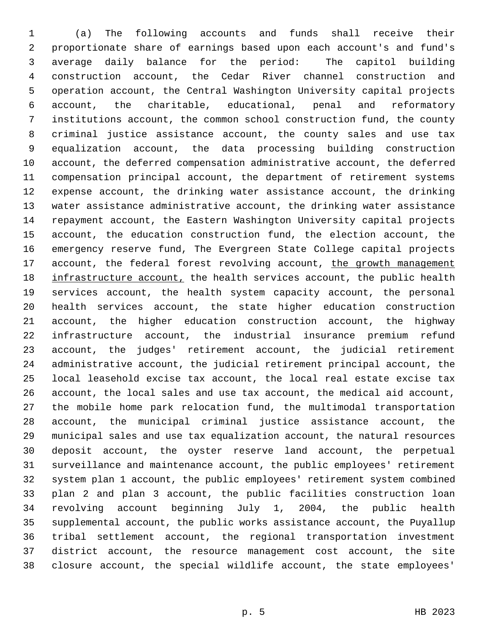(a) The following accounts and funds shall receive their proportionate share of earnings based upon each account's and fund's average daily balance for the period: The capitol building construction account, the Cedar River channel construction and operation account, the Central Washington University capital projects account, the charitable, educational, penal and reformatory institutions account, the common school construction fund, the county criminal justice assistance account, the county sales and use tax equalization account, the data processing building construction account, the deferred compensation administrative account, the deferred compensation principal account, the department of retirement systems expense account, the drinking water assistance account, the drinking water assistance administrative account, the drinking water assistance repayment account, the Eastern Washington University capital projects account, the education construction fund, the election account, the emergency reserve fund, The Evergreen State College capital projects 17 account, the federal forest revolving account, the growth management 18 infrastructure account, the health services account, the public health services account, the health system capacity account, the personal health services account, the state higher education construction account, the higher education construction account, the highway infrastructure account, the industrial insurance premium refund account, the judges' retirement account, the judicial retirement administrative account, the judicial retirement principal account, the local leasehold excise tax account, the local real estate excise tax account, the local sales and use tax account, the medical aid account, the mobile home park relocation fund, the multimodal transportation account, the municipal criminal justice assistance account, the municipal sales and use tax equalization account, the natural resources deposit account, the oyster reserve land account, the perpetual surveillance and maintenance account, the public employees' retirement system plan 1 account, the public employees' retirement system combined plan 2 and plan 3 account, the public facilities construction loan revolving account beginning July 1, 2004, the public health supplemental account, the public works assistance account, the Puyallup tribal settlement account, the regional transportation investment district account, the resource management cost account, the site closure account, the special wildlife account, the state employees'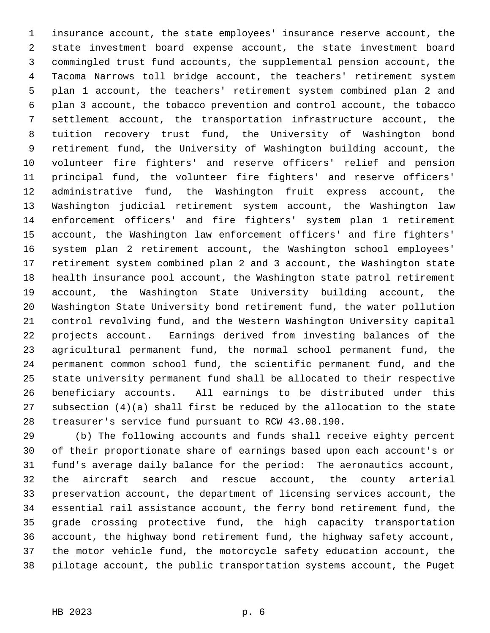insurance account, the state employees' insurance reserve account, the state investment board expense account, the state investment board commingled trust fund accounts, the supplemental pension account, the Tacoma Narrows toll bridge account, the teachers' retirement system plan 1 account, the teachers' retirement system combined plan 2 and plan 3 account, the tobacco prevention and control account, the tobacco settlement account, the transportation infrastructure account, the tuition recovery trust fund, the University of Washington bond retirement fund, the University of Washington building account, the volunteer fire fighters' and reserve officers' relief and pension principal fund, the volunteer fire fighters' and reserve officers' administrative fund, the Washington fruit express account, the Washington judicial retirement system account, the Washington law enforcement officers' and fire fighters' system plan 1 retirement account, the Washington law enforcement officers' and fire fighters' system plan 2 retirement account, the Washington school employees' retirement system combined plan 2 and 3 account, the Washington state health insurance pool account, the Washington state patrol retirement account, the Washington State University building account, the Washington State University bond retirement fund, the water pollution control revolving fund, and the Western Washington University capital projects account. Earnings derived from investing balances of the agricultural permanent fund, the normal school permanent fund, the permanent common school fund, the scientific permanent fund, and the state university permanent fund shall be allocated to their respective beneficiary accounts. All earnings to be distributed under this subsection (4)(a) shall first be reduced by the allocation to the state treasurer's service fund pursuant to RCW 43.08.190.

 (b) The following accounts and funds shall receive eighty percent of their proportionate share of earnings based upon each account's or fund's average daily balance for the period: The aeronautics account, the aircraft search and rescue account, the county arterial preservation account, the department of licensing services account, the essential rail assistance account, the ferry bond retirement fund, the grade crossing protective fund, the high capacity transportation account, the highway bond retirement fund, the highway safety account, the motor vehicle fund, the motorcycle safety education account, the pilotage account, the public transportation systems account, the Puget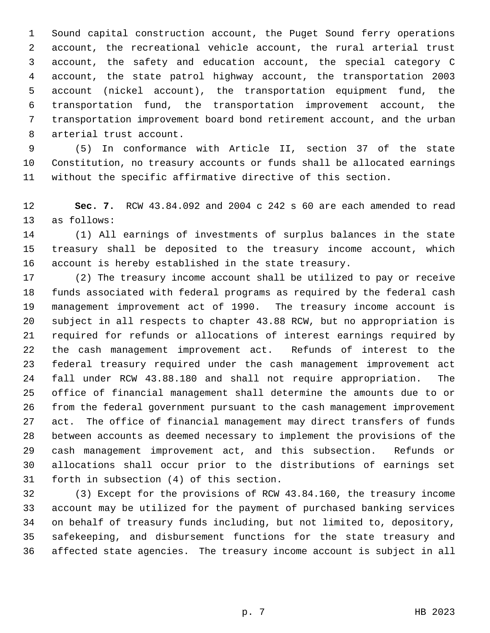Sound capital construction account, the Puget Sound ferry operations account, the recreational vehicle account, the rural arterial trust account, the safety and education account, the special category C account, the state patrol highway account, the transportation 2003 account (nickel account), the transportation equipment fund, the transportation fund, the transportation improvement account, the transportation improvement board bond retirement account, and the urban arterial trust account.

 (5) In conformance with Article II, section 37 of the state Constitution, no treasury accounts or funds shall be allocated earnings without the specific affirmative directive of this section.

 **Sec. 7.** RCW 43.84.092 and 2004 c 242 s 60 are each amended to read as follows:

 (1) All earnings of investments of surplus balances in the state treasury shall be deposited to the treasury income account, which account is hereby established in the state treasury.

 (2) The treasury income account shall be utilized to pay or receive funds associated with federal programs as required by the federal cash management improvement act of 1990. The treasury income account is subject in all respects to chapter 43.88 RCW, but no appropriation is required for refunds or allocations of interest earnings required by the cash management improvement act. Refunds of interest to the federal treasury required under the cash management improvement act fall under RCW 43.88.180 and shall not require appropriation. The office of financial management shall determine the amounts due to or from the federal government pursuant to the cash management improvement act. The office of financial management may direct transfers of funds between accounts as deemed necessary to implement the provisions of the cash management improvement act, and this subsection. Refunds or allocations shall occur prior to the distributions of earnings set forth in subsection (4) of this section.

 (3) Except for the provisions of RCW 43.84.160, the treasury income account may be utilized for the payment of purchased banking services on behalf of treasury funds including, but not limited to, depository, safekeeping, and disbursement functions for the state treasury and affected state agencies. The treasury income account is subject in all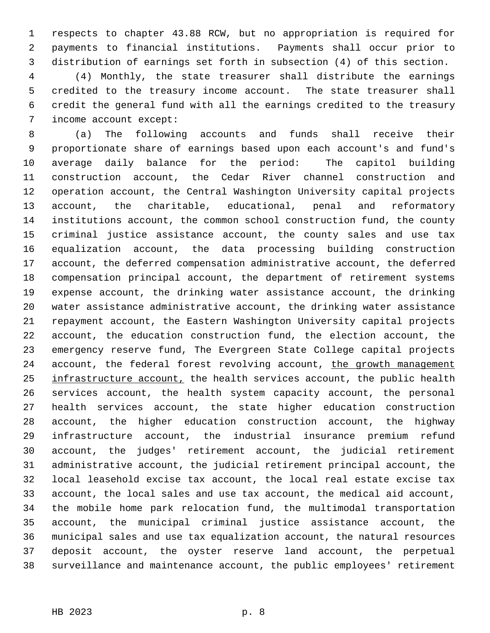respects to chapter 43.88 RCW, but no appropriation is required for payments to financial institutions. Payments shall occur prior to distribution of earnings set forth in subsection (4) of this section.

 (4) Monthly, the state treasurer shall distribute the earnings credited to the treasury income account. The state treasurer shall credit the general fund with all the earnings credited to the treasury income account except:

 (a) The following accounts and funds shall receive their proportionate share of earnings based upon each account's and fund's average daily balance for the period: The capitol building construction account, the Cedar River channel construction and operation account, the Central Washington University capital projects account, the charitable, educational, penal and reformatory institutions account, the common school construction fund, the county criminal justice assistance account, the county sales and use tax equalization account, the data processing building construction account, the deferred compensation administrative account, the deferred compensation principal account, the department of retirement systems expense account, the drinking water assistance account, the drinking water assistance administrative account, the drinking water assistance repayment account, the Eastern Washington University capital projects account, the education construction fund, the election account, the emergency reserve fund, The Evergreen State College capital projects 24 account, the federal forest revolving account, the growth management 25 infrastructure account, the health services account, the public health services account, the health system capacity account, the personal health services account, the state higher education construction account, the higher education construction account, the highway infrastructure account, the industrial insurance premium refund account, the judges' retirement account, the judicial retirement administrative account, the judicial retirement principal account, the local leasehold excise tax account, the local real estate excise tax account, the local sales and use tax account, the medical aid account, the mobile home park relocation fund, the multimodal transportation account, the municipal criminal justice assistance account, the municipal sales and use tax equalization account, the natural resources deposit account, the oyster reserve land account, the perpetual surveillance and maintenance account, the public employees' retirement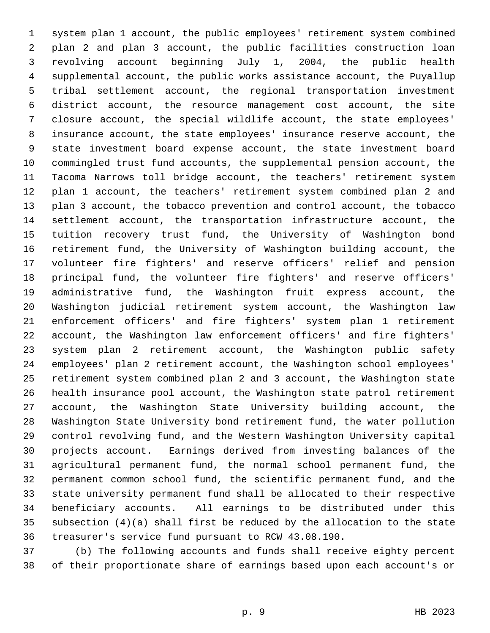system plan 1 account, the public employees' retirement system combined plan 2 and plan 3 account, the public facilities construction loan revolving account beginning July 1, 2004, the public health supplemental account, the public works assistance account, the Puyallup tribal settlement account, the regional transportation investment district account, the resource management cost account, the site closure account, the special wildlife account, the state employees' insurance account, the state employees' insurance reserve account, the state investment board expense account, the state investment board commingled trust fund accounts, the supplemental pension account, the Tacoma Narrows toll bridge account, the teachers' retirement system plan 1 account, the teachers' retirement system combined plan 2 and plan 3 account, the tobacco prevention and control account, the tobacco settlement account, the transportation infrastructure account, the tuition recovery trust fund, the University of Washington bond retirement fund, the University of Washington building account, the volunteer fire fighters' and reserve officers' relief and pension principal fund, the volunteer fire fighters' and reserve officers' administrative fund, the Washington fruit express account, the Washington judicial retirement system account, the Washington law enforcement officers' and fire fighters' system plan 1 retirement account, the Washington law enforcement officers' and fire fighters' system plan 2 retirement account, the Washington public safety employees' plan 2 retirement account, the Washington school employees' retirement system combined plan 2 and 3 account, the Washington state health insurance pool account, the Washington state patrol retirement account, the Washington State University building account, the Washington State University bond retirement fund, the water pollution control revolving fund, and the Western Washington University capital projects account. Earnings derived from investing balances of the agricultural permanent fund, the normal school permanent fund, the permanent common school fund, the scientific permanent fund, and the state university permanent fund shall be allocated to their respective beneficiary accounts. All earnings to be distributed under this subsection (4)(a) shall first be reduced by the allocation to the state treasurer's service fund pursuant to RCW 43.08.190.

 (b) The following accounts and funds shall receive eighty percent of their proportionate share of earnings based upon each account's or